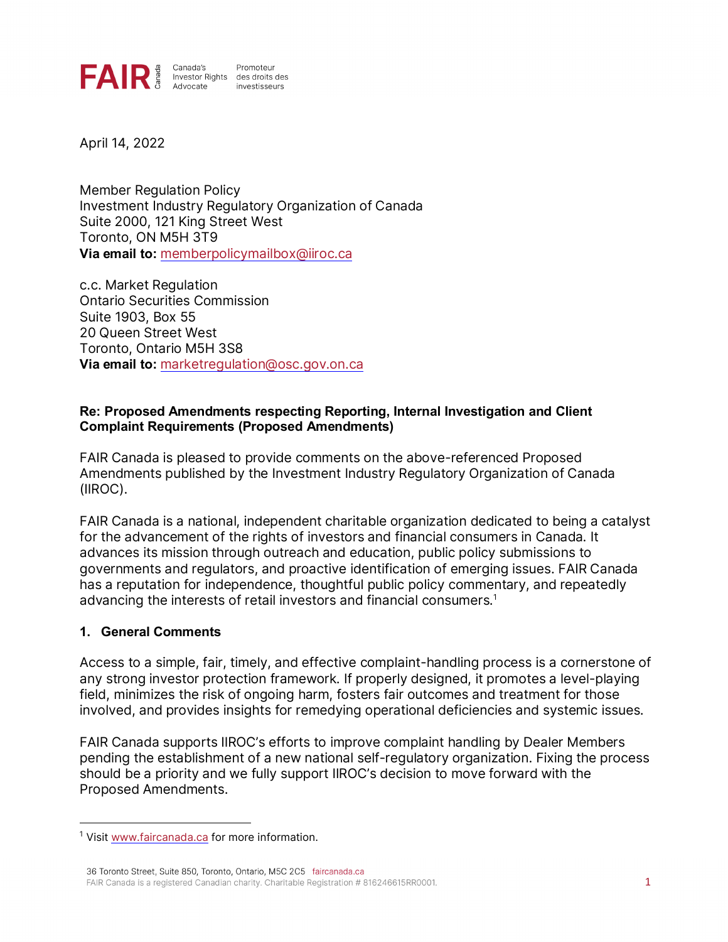

April 14, 2022

Member Regulation Policy Investment Industry Regulatory Organization of Canada Suite 2000, 121 King Street West Toronto, ON M5H 3T9 **Via email to:** [memberpolicymailbox@iiroc.ca](mailto:memberpolicymailbox@iiroc.ca)

c.c. Market Regulation Ontario Securities Commission Suite 1903, Box 55 20 Queen Street West Toronto, Ontario M5H 3S8 **Via email to:** [marketregulation@osc.gov.on.ca](mailto:marketregulation@osc.gov.on.ca)

#### **Re: Proposed Amendments respecting Reporting, Internal Investigation and Client Complaint Requirements (Proposed Amendments)**

FAIR Canada is pleased to provide comments on the above-referenced Proposed Amendments published by the Investment Industry Regulatory Organization of Canada (IIROC).

FAIR Canada is a national, independent charitable organization dedicated to being a catalyst for the advancement of the rights of investors and financial consumers in Canada. It advances its mission through outreach and education, public policy submissions to governments and regulators, and proactive identification of emerging issues. FAIR Canada has a reputation for independence, thoughtful public policy commentary, and repeatedly advancing the interests of retail investors and financial consumers.<sup>[1](#page-0-0)</sup>

#### **1. General Comments**

Access to a simple, fair, timely, and effective complaint-handling process is a cornerstone of any strong investor protection framework. If properly designed, it promotes a level-playing field, minimizes the risk of ongoing harm, fosters fair outcomes and treatment for those involved, and provides insights for remedying operational deficiencies and systemic issues.

FAIR Canada supports IIROC's efforts to improve complaint handling by Dealer Members pending the establishment of a new national self-regulatory organization. Fixing the process should be a priority and we fully support IIROC's decision to move forward with the Proposed Amendments.

<span id="page-0-0"></span><sup>&</sup>lt;sup>1</sup> Visi[t www.faircanada.ca](http://www.faircanada.ca/) for more information.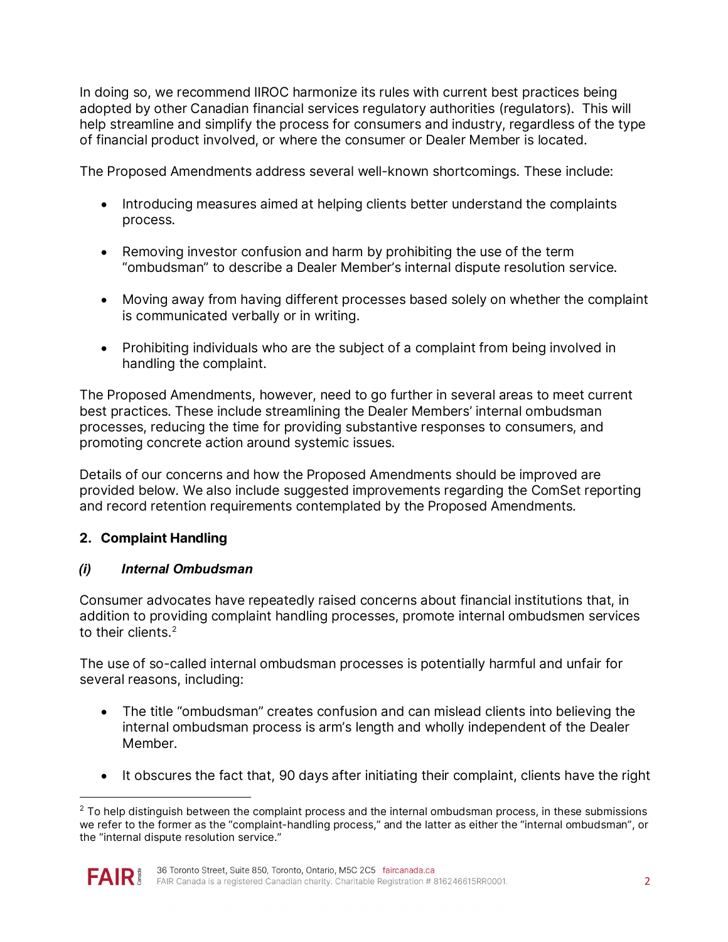In doing so, we recommend IIROC harmonize its rules with current best practices being adopted by other Canadian financial services regulatory authorities (regulators). This will help streamline and simplify the process for consumers and industry, regardless of the type of financial product involved, or where the consumer or Dealer Member is located.

The Proposed Amendments address several well-known shortcomings. These include:

- Introducing measures aimed at helping clients better understand the complaints process.
- Removing investor confusion and harm by prohibiting the use of the term "ombudsman" to describe a Dealer Member's internal dispute resolution service.
- Moving away from having different processes based solely on whether the complaint is communicated verbally or in writing.
- Prohibiting individuals who are the subject of a complaint from being involved in handling the complaint.

The Proposed Amendments, however, need to go further in several areas to meet current best practices. These include streamlining the Dealer Members' internal ombudsman processes, reducing the time for providing substantive responses to consumers, and promoting concrete action around systemic issues.

Details of our concerns and how the Proposed Amendments should be improved are provided below. We also include suggested improvements regarding the ComSet reporting and record retention requirements contemplated by the Proposed Amendments.

## **2. Complaint Handling**

## *(i) Internal Ombudsman*

Consumer advocates have repeatedly raised concerns about financial institutions that, in addition to providing complaint handling processes, promote internal ombudsmen services to their clients. [2](#page-1-0) 

The use of so-called internal ombudsman processes is potentially harmful and unfair for several reasons, including:

- The title "ombudsman" creates confusion and can mislead clients into believing the internal ombudsman process is arm's length and wholly independent of the Dealer Member.
- It obscures the fact that, 90 days after initiating their complaint, clients have the right

<span id="page-1-0"></span> $2$  To help distinguish between the complaint process and the internal ombudsman process, in these submissions we refer to the former as the "complaint-handling process," and the latter as either the "internal ombudsman", or the "internal dispute resolution service."

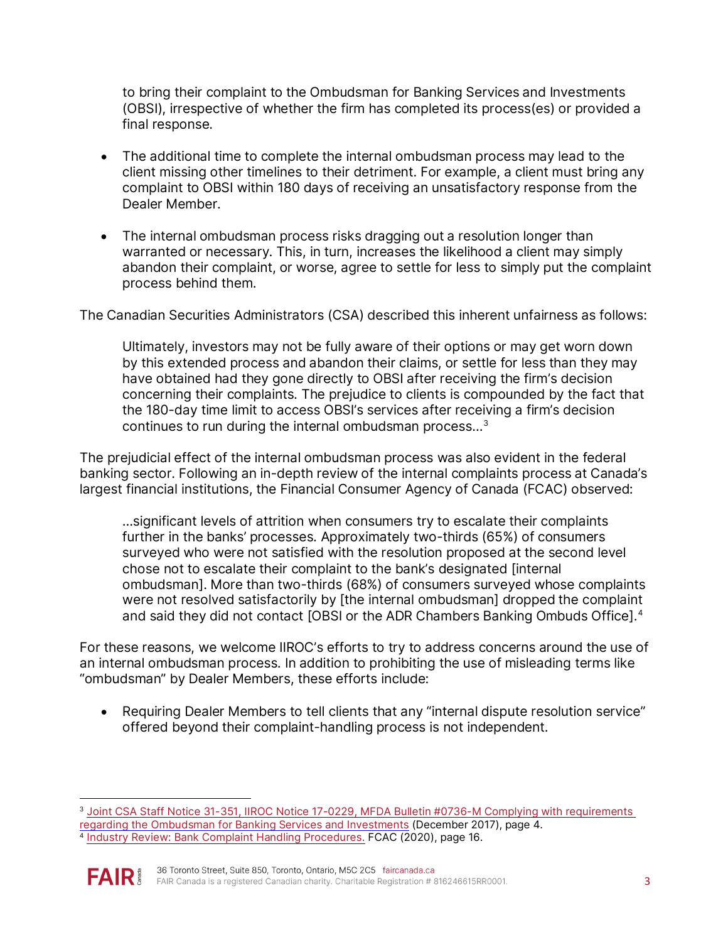to bring their complaint to the Ombudsman for Banking Services and Investments (OBSI), irrespective of whether the firm has completed its process(es) or provided a final response.

- The additional time to complete the internal ombudsman process may lead to the client missing other timelines to their detriment. For example, a client must bring any complaint to OBSI within 180 days of receiving an unsatisfactory response from the Dealer Member.
- The internal ombudsman process risks dragging out a resolution longer than warranted or necessary. This, in turn, increases the likelihood a client may simply abandon their complaint, or worse, agree to settle for less to simply put the complaint process behind them.

The Canadian Securities Administrators (CSA) described this inherent unfairness as follows:

Ultimately, investors may not be fully aware of their options or may get worn down by this extended process and abandon their claims, or settle for less than they may have obtained had they gone directly to OBSI after receiving the firm's decision concerning their complaints. The prejudice to clients is compounded by the fact that the 180-day time limit to access OBSI's services after receiving a firm's decision continues to run during the internal ombudsman process…[3](#page-2-0)

The prejudicial effect of the internal ombudsman process was also evident in the federal banking sector. Following an in-depth review of the internal complaints process at Canada's largest financial institutions, the Financial Consumer Agency of Canada (FCAC) observed:

…significant levels of attrition when consumers try to escalate their complaints further in the banks' processes. Approximately two-thirds (65%) of consumers surveyed who were not satisfied with the resolution proposed at the second level chose not to escalate their complaint to the bank's designated [internal ombudsman]. More than two-thirds (68%) of consumers surveyed whose complaints were not resolved satisfactorily by [the internal ombudsman] dropped the complaint and said they did not contact [OBSI or the ADR Chambers Banking Ombuds Office].<sup>[4](#page-2-1)</sup>

For these reasons, we welcome IIROC's efforts to try to address concerns around the use of an internal ombudsman process. In addition to prohibiting the use of misleading terms like "ombudsman" by Dealer Members, these efforts include:

• Requiring Dealer Members to tell clients that any "internal dispute resolution service" offered beyond their complaint-handling process is not independent.

<span id="page-2-1"></span><span id="page-2-0"></span><sup>&</sup>lt;sup>3</sup> [Joint CSA Staff Notice 31-351, IIROC Notice 17-0229, MFDA Bulletin #0736-M Complying with requirements](https://www.osc.ca/sites/default/files/pdfs/irps/csa_20171207_31-351_ombudsman-banking-services-investments.pdf) regarding the Ombudsman for Banking Services and Investments (December 2017), page 4. <sup>4</sup> [Industry Review: Bank Complaint Handling Procedures.](https://www.canada.ca/en/financial-consumer-agency/programs/research/banks-complaints-handling-procedures.html) FCAC (2020), page 16.

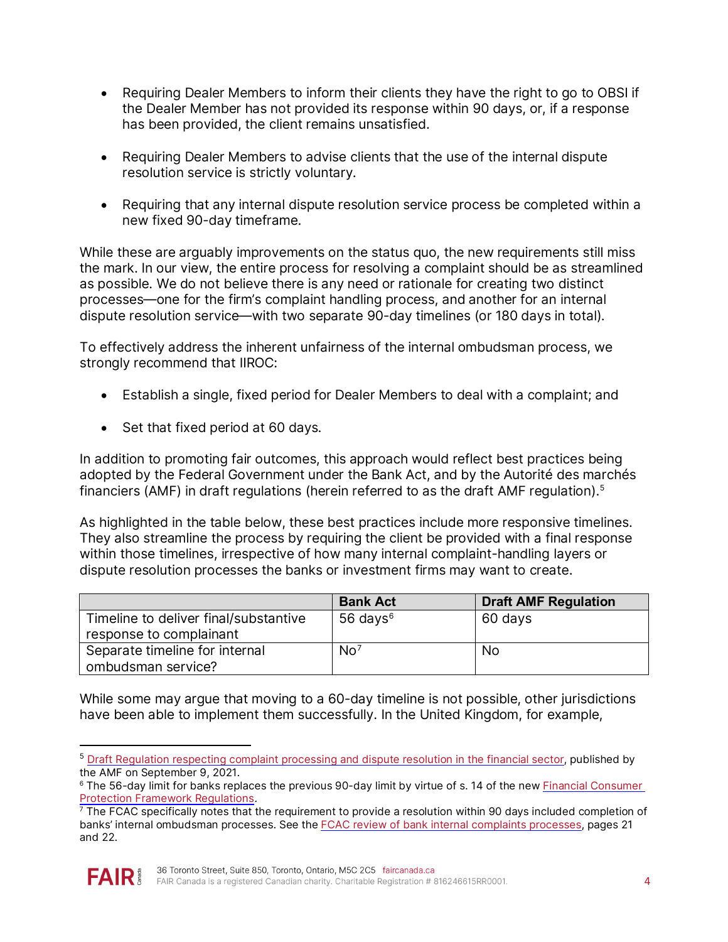- Requiring Dealer Members to inform their clients they have the right to go to OBSI if the Dealer Member has not provided its response within 90 days, or, if a response has been provided, the client remains unsatisfied.
- Requiring Dealer Members to advise clients that the use of the internal dispute resolution service is strictly voluntary.
- Requiring that any internal dispute resolution service process be completed within a new fixed 90-day timeframe.

While these are arguably improvements on the status quo, the new requirements still miss the mark. In our view, the entire process for resolving a complaint should be as streamlined as possible. We do not believe there is any need or rationale for creating two distinct processes—one for the firm's complaint handling process, and another for an internal dispute resolution service—with two separate 90-day timelines (or 180 days in total).

To effectively address the inherent unfairness of the internal ombudsman process, we strongly recommend that IIROC:

- Establish a single, fixed period for Dealer Members to deal with a complaint; and
- Set that fixed period at 60 days.

In addition to promoting fair outcomes, this approach would reflect best practices being adopted by the Federal Government under the Bank Act, and by the Autorité des marchés financiers (AMF) in draft regulations (herein referred to as the draft AMF regulation).[5](#page-3-0) 

As highlighted in the table below, these best practices include more responsive timelines. They also streamline the process by requiring the client be provided with a final response within those timelines, irrespective of how many internal complaint-handling layers or dispute resolution processes the banks or investment firms may want to create.

|                                                                  | <b>Bank Act</b> | <b>Draft AMF Regulation</b> |
|------------------------------------------------------------------|-----------------|-----------------------------|
| Timeline to deliver final/substantive<br>response to complainant | 56 days $6$     | 60 days                     |
| Separate timeline for internal<br>ombudsman service?             | No <sup>7</sup> | No.                         |

While some may argue that moving to a 60-day timeline is not possible, other jurisdictions have been able to implement them successfully. In the United Kingdom, for example,

<span id="page-3-2"></span>banks' internal ombudsman processes. See the [FCAC review of bank internal complaints processes,](https://www.canada.ca/content/dam/fcac-acfc/documents/programs/research-surveys-studies-reports/banks-complaints-handling-procedures.pdf) pages 21 and 22.



<span id="page-3-0"></span><sup>&</sup>lt;sup>5</sup> Draft Regulation respecting [complaint processing and dispute resolution in the financial sector,](https://lautorite.qc.ca/en/general-public/media-centre/news/fiche-dactualites/amf-publishes-draft-regulation-for-comment) published by the AMF on September 9, 2021.

<span id="page-3-1"></span><sup>6</sup> The 56-day limit for banks replaces the previous 90-day limit by virtue of s. 14 of the ne[w Financial Consumer](https://laws-lois.justice.gc.ca/eng/regulations/SOR-2021-181/index.html)  <u>Protection Framework Regulations</u>.<br><sup>7</sup> The FCAC specifically notes that the requirement to provide a resolution within 90 days included completion of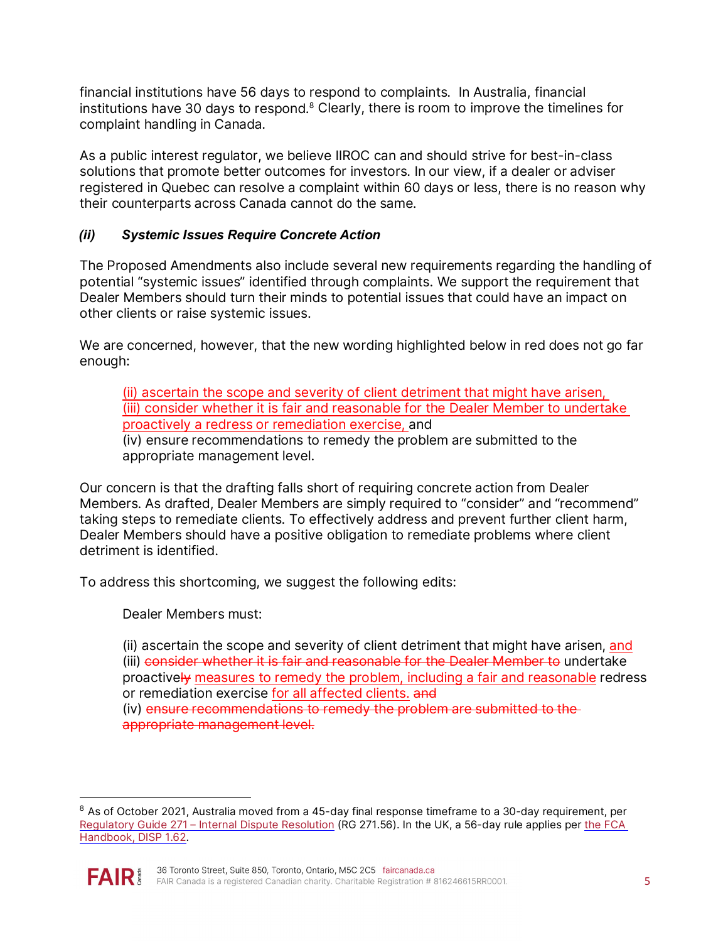financial institutions have 56 days to respond to complaints. In Australia, financial institutions have 30 days to respond.<sup>8</sup> Clearly, there is room to improve the timelines for complaint handling in Canada.

As a public interest regulator, we believe IIROC can and should strive for best-in-class solutions that promote better outcomes for investors. In our view, if a dealer or adviser registered in Quebec can resolve a complaint within 60 days or less, there is no reason why their counterparts across Canada cannot do the same.

### *(ii) Systemic Issues Require Concrete Action*

The Proposed Amendments also include several new requirements regarding the handling of potential "systemic issues" identified through complaints. We support the requirement that Dealer Members should turn their minds to potential issues that could have an impact on other clients or raise systemic issues.

We are concerned, however, that the new wording highlighted below in red does not go far enough:

(ii) ascertain the scope and severity of client detriment that might have arisen, (iii) consider whether it is fair and reasonable for the Dealer Member to undertake proactively a redress or remediation exercise, and

(iv) ensure recommendations to remedy the problem are submitted to the appropriate management level.

Our concern is that the drafting falls short of requiring concrete action from Dealer Members. As drafted, Dealer Members are simply required to "consider" and "recommend" taking steps to remediate clients. To effectively address and prevent further client harm, Dealer Members should have a positive obligation to remediate problems where client detriment is identified.

To address this shortcoming, we suggest the following edits:

Dealer Members must:

(ii) ascertain the scope and severity of client detriment that might have arisen, and (iii) consider whether it is fair and reasonable for the Dealer Member to undertake proactively measures to remedy the problem, including a fair and reasonable redress or remediation exercise for all affected clients. and

(iv) ensure recommendations to remedy the problem are submitted to the appropriate management level.

<span id="page-4-0"></span><sup>&</sup>lt;sup>8</sup> As of October 2021, Australia moved from a 45-day final response timeframe to a 30-day requirement, per [Regulatory Guide 271 – Internal Dispute Resolution](https://download.asic.gov.au/media/3olo5aq5/rg271-published-2-september-2021.pdf) (RG 271.56). In the UK, a 56-day rule applies per the FCA [Handbook, DISP 1.62.](https://www.handbook.fca.org.uk/handbook/DISP/1/6.html)

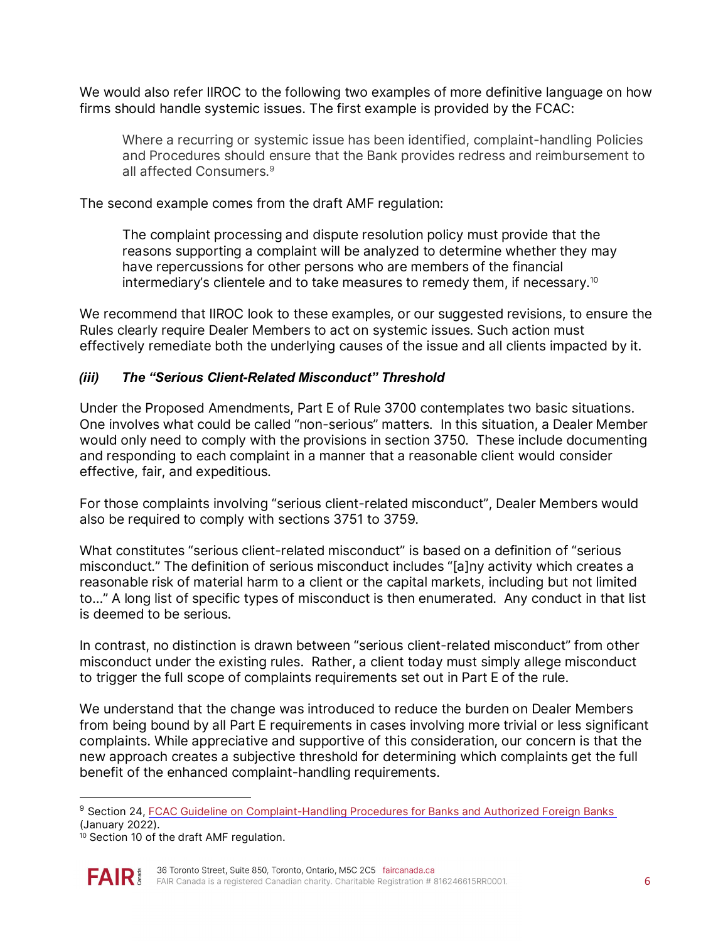We would also refer IIROC to the following two examples of more definitive language on how firms should handle systemic issues. The first example is provided by the FCAC:

Where a recurring or systemic issue has been identified, complaint-handling Policies and Procedures should ensure that the Bank provides redress and reimbursement to all affected Consumers.<sup>9</sup>

The second example comes from the draft AMF regulation:

The complaint processing and dispute resolution policy must provide that the reasons supporting a complaint will be analyzed to determine whether they may have repercussions for other persons who are members of the financial intermediary's clientele and to take measures to remedy them, if necessary. $^{\rm 10}$  $^{\rm 10}$  $^{\rm 10}$ 

We recommend that IIROC look to these examples, or our suggested revisions, to ensure the Rules clearly require Dealer Members to act on systemic issues. Such action must effectively remediate both the underlying causes of the issue and all clients impacted by it.

### *(iii) The "Serious Client-Related Misconduct" Threshold*

Under the Proposed Amendments, Part E of Rule 3700 contemplates two basic situations. One involves what could be called "non-serious" matters. In this situation, a Dealer Member would only need to comply with the provisions in section 3750. These include documenting and responding to each complaint in a manner that a reasonable client would consider effective, fair, and expeditious.

For those complaints involving "serious client-related misconduct", Dealer Members would also be required to comply with sections 3751 to 3759.

What constitutes "serious client-related misconduct" is based on a definition of "serious misconduct." The definition of serious misconduct includes "[a]ny activity which creates a reasonable risk of material harm to a client or the capital markets, including but not limited to…" A long list of specific types of misconduct is then enumerated. Any conduct in that list is deemed to be serious.

In contrast, no distinction is drawn between "serious client-related misconduct" from other misconduct under the existing rules. Rather, a client today must simply allege misconduct to trigger the full scope of complaints requirements set out in Part E of the rule.

We understand that the change was introduced to reduce the burden on Dealer Members from being bound by all Part E requirements in cases involving more trivial or less significant complaints. While appreciative and supportive of this consideration, our concern is that the new approach creates a subjective threshold for determining which complaints get the full benefit of the enhanced complaint-handling requirements.

<span id="page-5-1"></span> $10$  Section 10 of the draft AMF regulation.



<span id="page-5-0"></span><sup>&</sup>lt;sup>9</sup> Section 24[, FCAC Guideline on Complaint-Handling Procedures for Banks and Authorized Foreign Banks](https://www.canada.ca/en/financial-consumer-agency/services/industry/commissioner-guidance/complaint-handling-procedures-banks.html#toc8) (January 2022).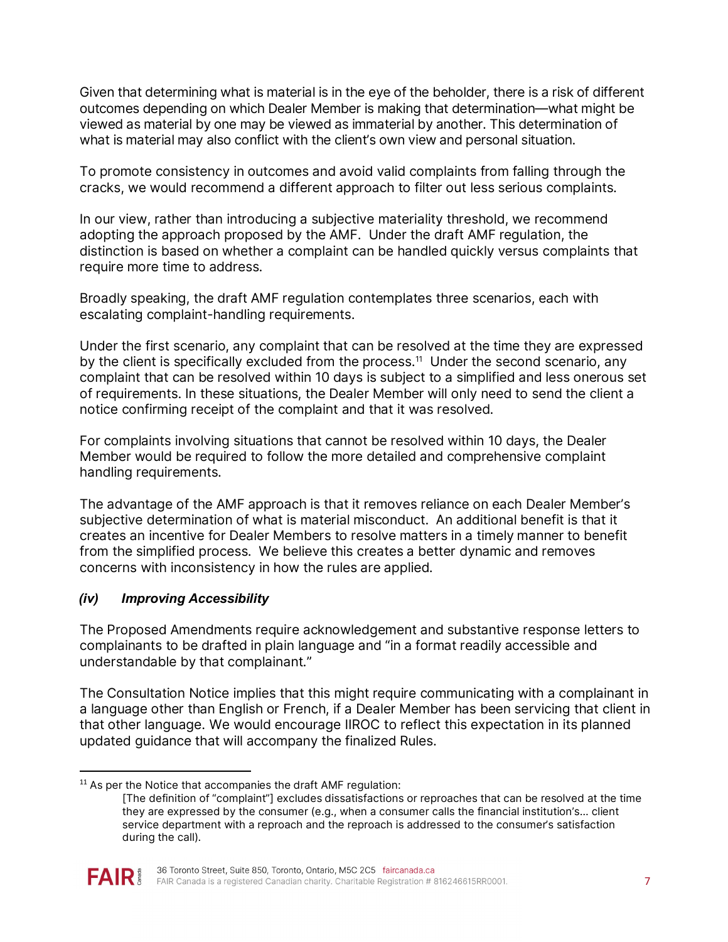Given that determining what is material is in the eye of the beholder, there is a risk of different outcomes depending on which Dealer Member is making that determination—what might be viewed as material by one may be viewed as immaterial by another. This determination of what is material may also conflict with the client's own view and personal situation.

To promote consistency in outcomes and avoid valid complaints from falling through the cracks, we would recommend a different approach to filter out less serious complaints.

In our view, rather than introducing a subjective materiality threshold, we recommend adopting the approach proposed by the AMF. Under the draft AMF regulation, the distinction is based on whether a complaint can be handled quickly versus complaints that require more time to address.

Broadly speaking, the draft AMF regulation contemplates three scenarios, each with escalating complaint-handling requirements.

Under the first scenario, any complaint that can be resolved at the time they are expressed by the client is specifically excluded from the process.<sup>[11](#page-6-0)</sup> Under the second scenario, any complaint that can be resolved within 10 days is subject to a simplified and less onerous set of requirements. In these situations, the Dealer Member will only need to send the client a notice confirming receipt of the complaint and that it was resolved.

For complaints involving situations that cannot be resolved within 10 days, the Dealer Member would be required to follow the more detailed and comprehensive complaint handling requirements.

The advantage of the AMF approach is that it removes reliance on each Dealer Member's subjective determination of what is material misconduct. An additional benefit is that it creates an incentive for Dealer Members to resolve matters in a timely manner to benefit from the simplified process. We believe this creates a better dynamic and removes concerns with inconsistency in how the rules are applied.

### *(iv) Improving Accessibility*

The Proposed Amendments require acknowledgement and substantive response letters to complainants to be drafted in plain language and "in a format readily accessible and understandable by that complainant."

The Consultation Notice implies that this might require communicating with a complainant in a language other than English or French, if a Dealer Member has been servicing that client in that other language. We would encourage IIROC to reflect this expectation in its planned updated guidance that will accompany the finalized Rules.

<sup>[</sup>The definition of "complaint"] excludes dissatisfactions or reproaches that can be resolved at the time they are expressed by the consumer (e.g., when a consumer calls the financial institution's… client service department with a reproach and the reproach is addressed to the consumer's satisfaction during the call).



<span id="page-6-0"></span> $11$  As per the Notice that accompanies the draft AMF regulation: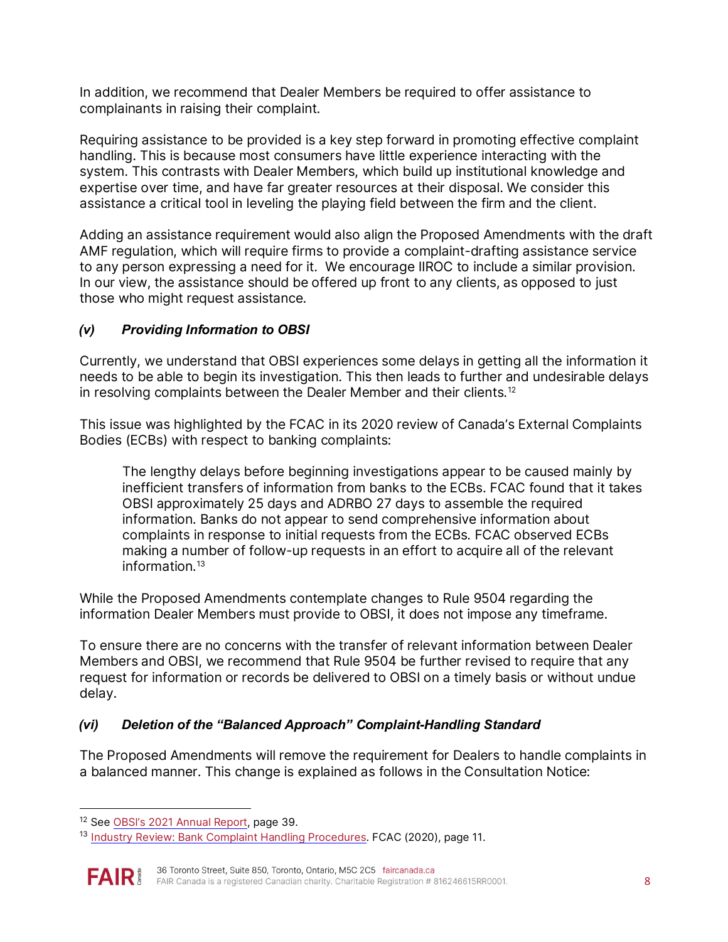In addition, we recommend that Dealer Members be required to offer assistance to complainants in raising their complaint.

Requiring assistance to be provided is a key step forward in promoting effective complaint handling. This is because most consumers have little experience interacting with the system. This contrasts with Dealer Members, which build up institutional knowledge and expertise over time, and have far greater resources at their disposal. We consider this assistance a critical tool in leveling the playing field between the firm and the client.

Adding an assistance requirement would also align the Proposed Amendments with the draft AMF regulation, which will require firms to provide a complaint-drafting assistance service to any person expressing a need for it. We encourage IIROC to include a similar provision. In our view, the assistance should be offered up front to any clients, as opposed to just those who might request assistance.

## *(v) Providing Information to OBSI*

Currently, we understand that OBSI experiences some delays in getting all the information it needs to be able to begin its investigation. This then leads to further and undesirable delays in resolving complaints between the Dealer Member and their clients.<sup>[12](#page-7-0)</sup>

This issue was highlighted by the FCAC in its 2020 review of Canada's External Complaints Bodies (ECBs) with respect to banking complaints:

The lengthy delays before beginning investigations appear to be caused mainly by inefficient transfers of information from banks to the ECBs. FCAC found that it takes OBSI approximately 25 days and ADRBO 27 days to assemble the required information. Banks do not appear to send comprehensive information about complaints in response to initial requests from the ECBs. FCAC observed ECBs making a number of follow-up requests in an effort to acquire all of the relevant information.[13](#page-7-1)

While the Proposed Amendments contemplate changes to Rule 9504 regarding the information Dealer Members must provide to OBSI, it does not impose any timeframe.

To ensure there are no concerns with the transfer of relevant information between Dealer Members and OBSI, we recommend that Rule 9504 be further revised to require that any request for information or records be delivered to OBSI on a timely basis or without undue delay.

# *(vi) Deletion of the "Balanced Approach" Complaint-Handling Standard*

The Proposed Amendments will remove the requirement for Dealers to handle complaints in a balanced manner. This change is explained as follows in the Consultation Notice:

<span id="page-7-1"></span><sup>&</sup>lt;sup>13</sup> Industry Review: Bank Complaint Handling Procedures. FCAC (2020), page 11.



<span id="page-7-0"></span><sup>&</sup>lt;sup>12</sup> See [OBSI's 2021 Annual Report,](https://www.obsi.ca/en/news-and-publications/resources/AnnualReports-English/Annual-Report-2021---EN.pdf) page 39.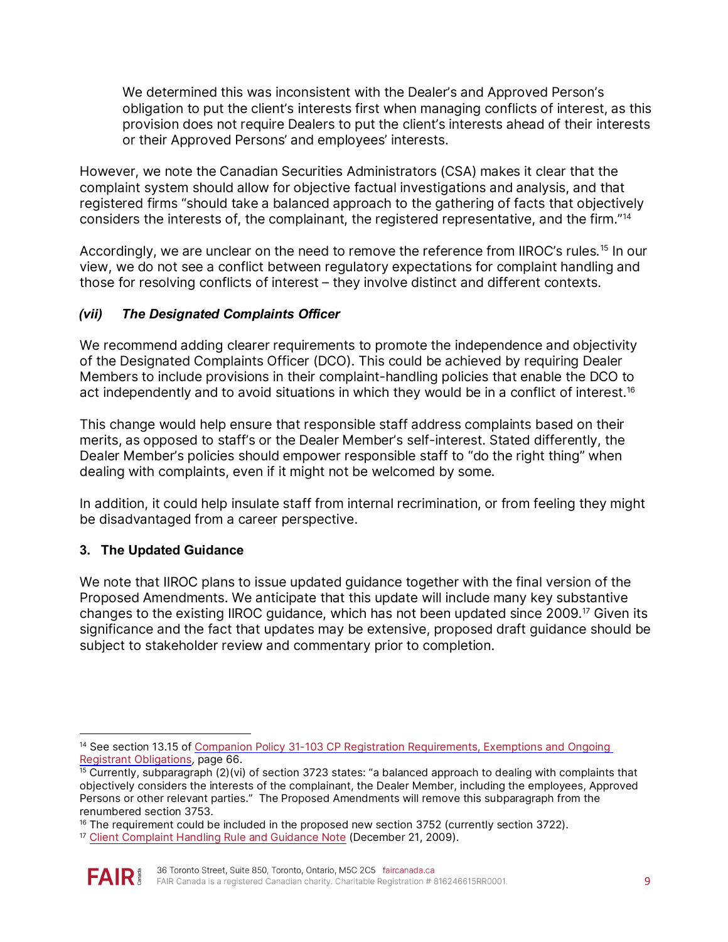We determined this was inconsistent with the Dealer's and Approved Person's obligation to put the client's interests first when managing conflicts of interest, as this provision does not require Dealers to put the client's interests ahead of their interests or their Approved Persons' and employees' interests.

However, we note the Canadian Securities Administrators (CSA) makes it clear that the complaint system should allow for objective factual investigations and analysis, and that registered firms "should take a balanced approach to the gathering of facts that objectively considers the interests of, the complainant, the registered representative, and the firm."[14](#page-8-0)

Accordingly, we are unclear on the need to remove the reference from IIROC's rules.<sup>[15](#page-8-1)</sup> In our view, we do not see a conflict between regulatory expectations for complaint handling and those for resolving conflicts of interest – they involve distinct and different contexts.

### *(vii) The Designated Complaints Officer*

We recommend adding clearer requirements to promote the independence and objectivity of the Designated Complaints Officer (DCO). This could be achieved by requiring Dealer Members to include provisions in their complaint-handling policies that enable the DCO to act independently and to avoid situations in which they would be in a conflict of interest.<sup>16</sup>

This change would help ensure that responsible staff address complaints based on their merits, as opposed to staff's or the Dealer Member's self-interest. Stated differently, the Dealer Member's policies should empower responsible staff to "do the right thing" when dealing with complaints, even if it might not be welcomed by some.

In addition, it could help insulate staff from internal recrimination, or from feeling they might be disadvantaged from a career perspective.

## **3. The Updated Guidance**

We note that IIROC plans to issue updated guidance together with the final version of the Proposed Amendments. We anticipate that this update will include many key substantive changes to the existing IIROC guidance, which has not been updated since 2009.[17](#page-8-3) Given its significance and the fact that updates may be extensive, proposed draft guidance should be subject to stakeholder review and commentary prior to completion.

<span id="page-8-3"></span><sup>&</sup>lt;sup>17</sup> [Client Complaint Handling Rule and Guidance Note](https://www.iiroc.ca/news-and-publications/notices-and-guidance/client-complaint-handling-rule-and-guidance-note-and-amendments-dealer-member-rules-19-37-and-2500-0) (December 21, 2009).



<span id="page-8-0"></span><sup>&</sup>lt;sup>14</sup> See section 13.15 of Companion Policy 31-103 CP Registration Reguirements, Exemptions and Ongoing [Registrant Obligations](https://www.bcsc.bc.ca/-/media/PWS/New-Resources/Securities-Law/Instruments-and-Policies/Policy-3/31103-CP-December-31-2021.pdf), page 66.

<span id="page-8-1"></span> $15$  Currently, subparagraph (2)(vi) of section 3723 states: "a balanced approach to dealing with complaints that objectively considers the interests of the complainant, the Dealer Member, including the employees, Approved Persons or other relevant parties." The Proposed Amendments will remove this subparagraph from the renumbered section 3753.

<span id="page-8-2"></span> $16$  The requirement could be included in the proposed new section 3752 (currently section 3722).